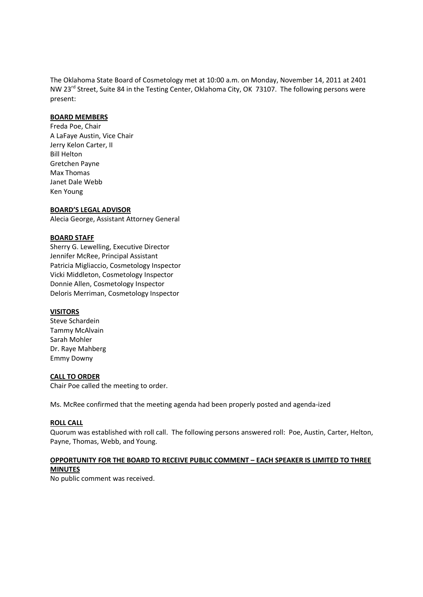The Oklahoma State Board of Cosmetology met at 10:00 a.m. on Monday, November 14, 2011 at 2401 NW 23<sup>rd</sup> Street, Suite 84 in the Testing Center, Oklahoma City, OK 73107. The following persons were present:

#### **BOARD MEMBERS**

Freda Poe, Chair A LaFaye Austin, Vice Chair Jerry Kelon Carter, II Bill Helton Gretchen Payne Max Thomas Janet Dale Webb Ken Young

#### **BOARD'S LEGAL ADVISOR**

Alecia George, Assistant Attorney General

#### **BOARD STAFF**

Sherry G. Lewelling, Executive Director Jennifer McRee, Principal Assistant Patricia Migliaccio, Cosmetology Inspector Vicki Middleton, Cosmetology Inspector Donnie Allen, Cosmetology Inspector Deloris Merriman, Cosmetology Inspector

#### **VISITORS**

Steve Schardein Tammy McAlvain Sarah Mohler Dr. Raye Mahberg Emmy Downy

#### **CALL TO ORDER**

Chair Poe called the meeting to order.

Ms. McRee confirmed that the meeting agenda had been properly posted and agenda-ized

#### **ROLL CALL**

Quorum was established with roll call. The following persons answered roll: Poe, Austin, Carter, Helton, Payne, Thomas, Webb, and Young.

## **OPPORTUNITY FOR THE BOARD TO RECEIVE PUBLIC COMMENT – EACH SPEAKER IS LIMITED TO THREE MINUTES**

No public comment was received.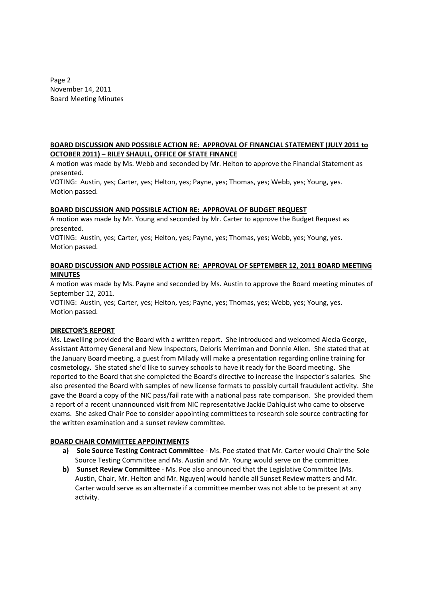Page 2 November 14, 2011 Board Meeting Minutes

## **BOARD DISCUSSION AND POSSIBLE ACTION RE: APPROVAL OF FINANCIAL STATEMENT (JULY 2011 to OCTOBER 2011) – RILEY SHAULL, OFFICE OF STATE FINANCE**

A motion was made by Ms. Webb and seconded by Mr. Helton to approve the Financial Statement as presented.

VOTING: Austin, yes; Carter, yes; Helton, yes; Payne, yes; Thomas, yes; Webb, yes; Young, yes. Motion passed.

## **BOARD DISCUSSION AND POSSIBLE ACTION RE: APPROVAL OF BUDGET REQUEST**

A motion was made by Mr. Young and seconded by Mr. Carter to approve the Budget Request as presented.

VOTING: Austin, yes; Carter, yes; Helton, yes; Payne, yes; Thomas, yes; Webb, yes; Young, yes. Motion passed.

## **BOARD DISCUSSION AND POSSIBLE ACTION RE: APPROVAL OF SEPTEMBER 12, 2011 BOARD MEETING MINUTES**

A motion was made by Ms. Payne and seconded by Ms. Austin to approve the Board meeting minutes of September 12, 2011.

VOTING: Austin, yes; Carter, yes; Helton, yes; Payne, yes; Thomas, yes; Webb, yes; Young, yes. Motion passed.

## **DIRECTOR'S REPORT**

Ms. Lewelling provided the Board with a written report. She introduced and welcomed Alecia George, Assistant Attorney General and New Inspectors, Deloris Merriman and Donnie Allen. She stated that at the January Board meeting, a guest from Milady will make a presentation regarding online training for cosmetology. She stated she'd like to survey schools to have it ready for the Board meeting. She reported to the Board that she completed the Board's directive to increase the Inspector's salaries. She also presented the Board with samples of new license formats to possibly curtail fraudulent activity. She gave the Board a copy of the NIC pass/fail rate with a national pass rate comparison. She provided them a report of a recent unannounced visit from NIC representative Jackie Dahlquist who came to observe exams. She asked Chair Poe to consider appointing committees to research sole source contracting for the written examination and a sunset review committee.

## **BOARD CHAIR COMMITTEE APPOINTMENTS**

- **a) Sole Source Testing Contract Committee** Ms. Poe stated that Mr. Carter would Chair the Sole Source Testing Committee and Ms. Austin and Mr. Young would serve on the committee.
- **b) Sunset Review Committee** Ms. Poe also announced that the Legislative Committee (Ms. Austin, Chair, Mr. Helton and Mr. Nguyen) would handle all Sunset Review matters and Mr. Carter would serve as an alternate if a committee member was not able to be present at any activity.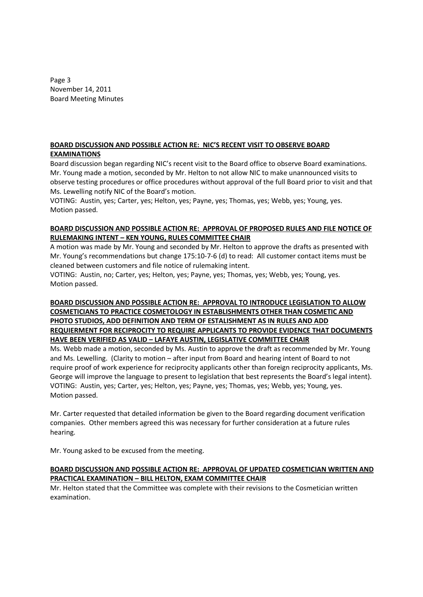Page 3 November 14, 2011 Board Meeting Minutes

## **BOARD DISCUSSION AND POSSIBLE ACTION RE: NIC'S RECENT VISIT TO OBSERVE BOARD EXAMINATIONS**

Board discussion began regarding NIC's recent visit to the Board office to observe Board examinations. Mr. Young made a motion, seconded by Mr. Helton to not allow NIC to make unannounced visits to observe testing procedures or office procedures without approval of the full Board prior to visit and that Ms. Lewelling notify NIC of the Board's motion.

VOTING: Austin, yes; Carter, yes; Helton, yes; Payne, yes; Thomas, yes; Webb, yes; Young, yes. Motion passed.

# **BOARD DISCUSSION AND POSSIBLE ACTION RE: APPROVAL OF PROPOSED RULES AND FILE NOTICE OF RULEMAKING INTENT – KEN YOUNG, RULES COMMITTEE CHAIR**

A motion was made by Mr. Young and seconded by Mr. Helton to approve the drafts as presented with Mr. Young's recommendations but change 175:10-7-6 (d) to read: All customer contact items must be cleaned between customers and file notice of rulemaking intent.

VOTING: Austin, no; Carter, yes; Helton, yes; Payne, yes; Thomas, yes; Webb, yes; Young, yes. Motion passed.

# **BOARD DISCUSSION AND POSSIBLE ACTION RE: APPROVAL TO INTRODUCE LEGISLATION TO ALLOW COSMETICIANS TO PRACTICE COSMETOLOGY IN ESTABLISHMENTS OTHER THAN COSMETIC AND PHOTO STUDIOS, ADD DEFINITION AND TERM OF ESTALISHMENT AS IN RULES AND ADD REQUIERMENT FOR RECIPROCITY TO REQUIRE APPLICANTS TO PROVIDE EVIDENCE THAT DOCUMENTS HAVE BEEN VERIFIED AS VALID – LAFAYE AUSTIN, LEGISLATIVE COMMITTEE CHAIR**

Ms. Webb made a motion, seconded by Ms. Austin to approve the draft as recommended by Mr. Young and Ms. Lewelling. (Clarity to motion – after input from Board and hearing intent of Board to not require proof of work experience for reciprocity applicants other than foreign reciprocity applicants, Ms. George will improve the language to present to legislation that best represents the Board's legal intent). VOTING: Austin, yes; Carter, yes; Helton, yes; Payne, yes; Thomas, yes; Webb, yes; Young, yes. Motion passed.

Mr. Carter requested that detailed information be given to the Board regarding document verification companies. Other members agreed this was necessary for further consideration at a future rules hearing.

Mr. Young asked to be excused from the meeting.

# **BOARD DISCUSSION AND POSSIBLE ACTION RE: APPROVAL OF UPDATED COSMETICIAN WRITTEN AND PRACTICAL EXAMINATION – BILL HELTON, EXAM COMMITTEE CHAIR**

Mr. Helton stated that the Committee was complete with their revisions to the Cosmetician written examination.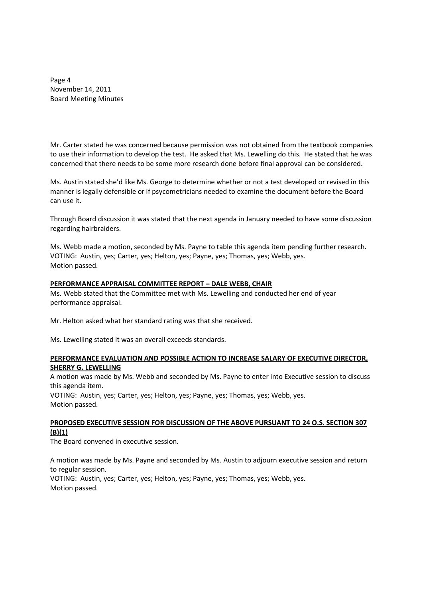Page 4 November 14, 2011 Board Meeting Minutes

Mr. Carter stated he was concerned because permission was not obtained from the textbook companies to use their information to develop the test. He asked that Ms. Lewelling do this. He stated that he was concerned that there needs to be some more research done before final approval can be considered.

Ms. Austin stated she'd like Ms. George to determine whether or not a test developed or revised in this manner is legally defensible or if psycometricians needed to examine the document before the Board can use it.

Through Board discussion it was stated that the next agenda in January needed to have some discussion regarding hairbraiders.

Ms. Webb made a motion, seconded by Ms. Payne to table this agenda item pending further research. VOTING: Austin, yes; Carter, yes; Helton, yes; Payne, yes; Thomas, yes; Webb, yes. Motion passed.

#### **PERFORMANCE APPRAISAL COMMITTEE REPORT – DALE WEBB, CHAIR**

Ms. Webb stated that the Committee met with Ms. Lewelling and conducted her end of year performance appraisal.

Mr. Helton asked what her standard rating was that she received.

Ms. Lewelling stated it was an overall exceeds standards.

#### **PERFORMANCE EVALUATION AND POSSIBLE ACTION TO INCREASE SALARY OF EXECUTIVE DIRECTOR, SHERRY G. LEWELLING**

A motion was made by Ms. Webb and seconded by Ms. Payne to enter into Executive session to discuss this agenda item.

VOTING: Austin, yes; Carter, yes; Helton, yes; Payne, yes; Thomas, yes; Webb, yes. Motion passed.

# **PROPOSED EXECUTIVE SESSION FOR DISCUSSION OF THE ABOVE PURSUANT TO 24 O.S. SECTION 307 (B)(1)**

The Board convened in executive session.

A motion was made by Ms. Payne and seconded by Ms. Austin to adjourn executive session and return to regular session. VOTING: Austin, yes; Carter, yes; Helton, yes; Payne, yes; Thomas, yes; Webb, yes. Motion passed.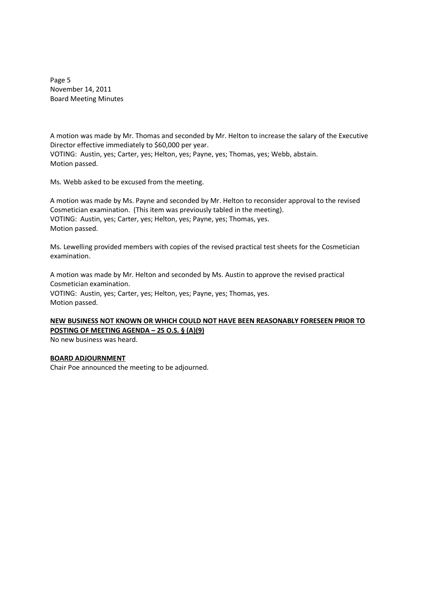Page 5 November 14, 2011 Board Meeting Minutes

A motion was made by Mr. Thomas and seconded by Mr. Helton to increase the salary of the Executive Director effective immediately to \$60,000 per year. VOTING: Austin, yes; Carter, yes; Helton, yes; Payne, yes; Thomas, yes; Webb, abstain. Motion passed.

Ms. Webb asked to be excused from the meeting.

A motion was made by Ms. Payne and seconded by Mr. Helton to reconsider approval to the revised Cosmetician examination. (This item was previously tabled in the meeting). VOTING: Austin, yes; Carter, yes; Helton, yes; Payne, yes; Thomas, yes. Motion passed.

Ms. Lewelling provided members with copies of the revised practical test sheets for the Cosmetician examination.

A motion was made by Mr. Helton and seconded by Ms. Austin to approve the revised practical Cosmetician examination. VOTING: Austin, yes; Carter, yes; Helton, yes; Payne, yes; Thomas, yes. Motion passed.

**NEW BUSINESS NOT KNOWN OR WHICH COULD NOT HAVE BEEN REASONABLY FORESEEN PRIOR TO POSTING OF MEETING AGENDA – 25 O.S. § (A)(9)**

No new business was heard.

## **BOARD ADJOURNMENT**

Chair Poe announced the meeting to be adjourned.